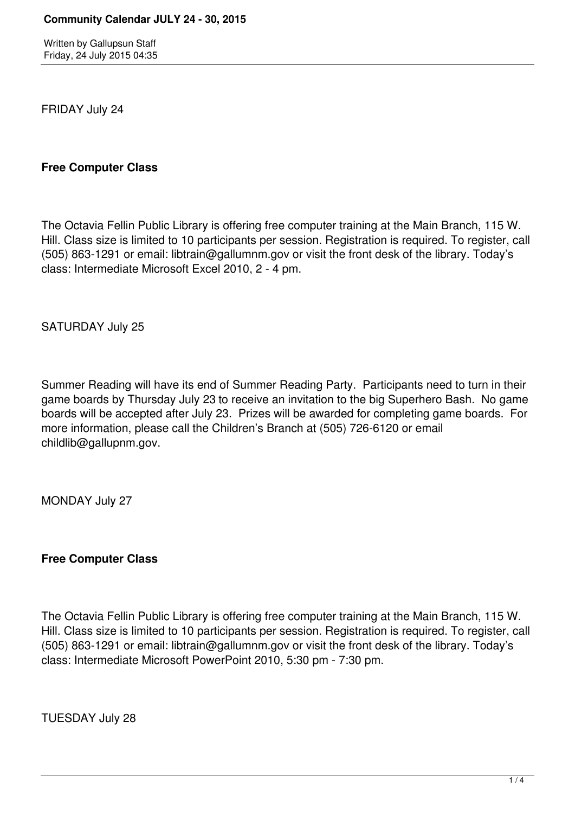Written by Gallupsun Staff Friday, 24 July 2015 04:35

FRIDAY July 24

### **Free Computer Class**

The Octavia Fellin Public Library is offering free computer training at the Main Branch, 115 W. Hill. Class size is limited to 10 participants per session. Registration is required. To register, call (505) 863-1291 or email: libtrain@gallumnm.gov or visit the front desk of the library. Today's class: Intermediate Microsoft Excel 2010, 2 - 4 pm.

SATURDAY July 25

Summer Reading will have its end of Summer Reading Party. Participants need to turn in their game boards by Thursday July 23 to receive an invitation to the big Superhero Bash. No game boards will be accepted after July 23. Prizes will be awarded for completing game boards. For more information, please call the Children's Branch at (505) 726-6120 or email childlib@gallupnm.gov.

MONDAY July 27

**Free Computer Class**

The Octavia Fellin Public Library is offering free computer training at the Main Branch, 115 W. Hill. Class size is limited to 10 participants per session. Registration is required. To register, call (505) 863-1291 or email: libtrain@gallumnm.gov or visit the front desk of the library. Today's class: Intermediate Microsoft PowerPoint 2010, 5:30 pm - 7:30 pm.

TUESDAY July 28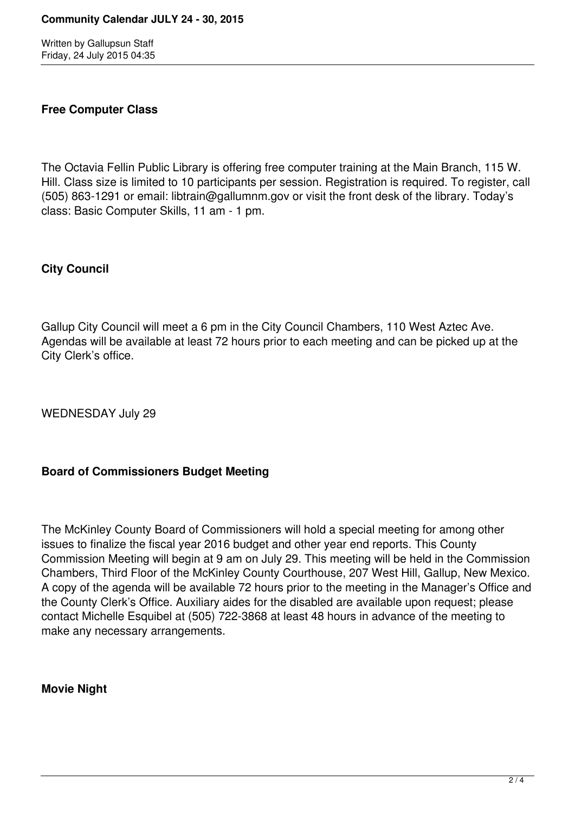Written by Gallupsun Staff Friday, 24 July 2015 04:35

# **Free Computer Class**

The Octavia Fellin Public Library is offering free computer training at the Main Branch, 115 W. Hill. Class size is limited to 10 participants per session. Registration is required. To register, call (505) 863-1291 or email: libtrain@gallumnm.gov or visit the front desk of the library. Today's class: Basic Computer Skills, 11 am - 1 pm.

# **City Council**

Gallup City Council will meet a 6 pm in the City Council Chambers, 110 West Aztec Ave. Agendas will be available at least 72 hours prior to each meeting and can be picked up at the City Clerk's office.

WEDNESDAY July 29

# **Board of Commissioners Budget Meeting**

The McKinley County Board of Commissioners will hold a special meeting for among other issues to finalize the fiscal year 2016 budget and other year end reports. This County Commission Meeting will begin at 9 am on July 29. This meeting will be held in the Commission Chambers, Third Floor of the McKinley County Courthouse, 207 West Hill, Gallup, New Mexico. A copy of the agenda will be available 72 hours prior to the meeting in the Manager's Office and the County Clerk's Office. Auxiliary aides for the disabled are available upon request; please contact Michelle Esquibel at (505) 722-3868 at least 48 hours in advance of the meeting to make any necessary arrangements.

### **Movie Night**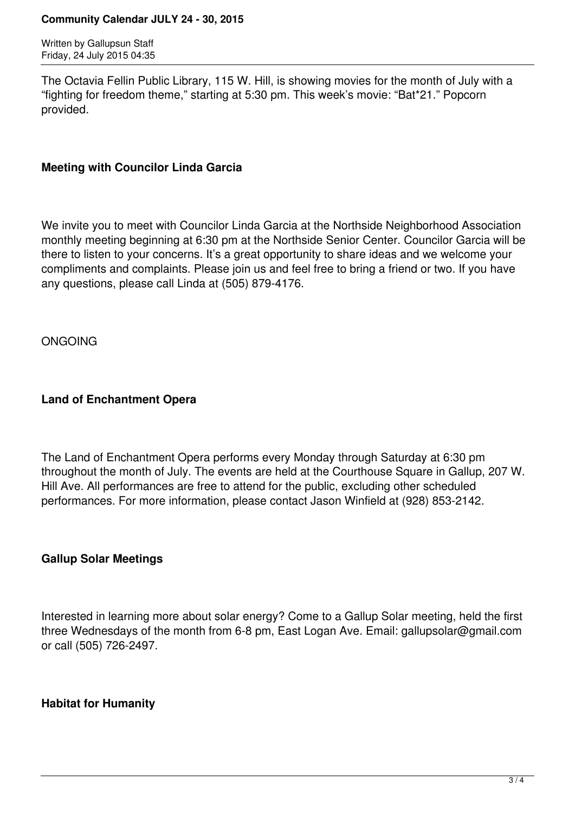#### **Community Calendar JULY 24 - 30, 2015**

Written by Gallupsun Staff Friday, 24 July 2015 04:35

The Octavia Fellin Public Library, 115 W. Hill, is showing movies for the month of July with a "fighting for freedom theme," starting at 5:30 pm. This week's movie: "Bat\*21." Popcorn provided.

### **Meeting with Councilor Linda Garcia**

We invite you to meet with Councilor Linda Garcia at the Northside Neighborhood Association monthly meeting beginning at 6:30 pm at the Northside Senior Center. Councilor Garcia will be there to listen to your concerns. It's a great opportunity to share ideas and we welcome your compliments and complaints. Please join us and feel free to bring a friend or two. If you have any questions, please call Linda at (505) 879-4176.

ONGOING

# **Land of Enchantment Opera**

The Land of Enchantment Opera performs every Monday through Saturday at 6:30 pm throughout the month of July. The events are held at the Courthouse Square in Gallup, 207 W. Hill Ave. All performances are free to attend for the public, excluding other scheduled performances. For more information, please contact Jason Winfield at (928) 853-2142.

# **Gallup Solar Meetings**

Interested in learning more about solar energy? Come to a Gallup Solar meeting, held the first three Wednesdays of the month from 6-8 pm, East Logan Ave. Email: gallupsolar@gmail.com or call (505) 726-2497.

# **Habitat for Humanity**